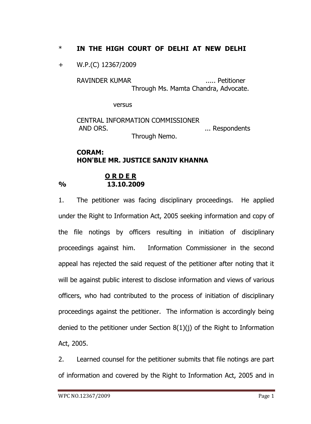# \* **IN THE HIGH COURT OF DELHI AT NEW DELHI**

+ W.P.(C) 12367/2009

RAVINDER KUMAR ...... Petitioner Through Ms. Mamta Chandra, Advocate.

versus

CENTRAL INFORMATION COMMISSIONER AND ORS. **... ... ... ... ...** ... Respondents Through Nemo.

## **CORAM: HON'BLE MR. JUSTICE SANJIV KHANNA**

#### **O R D E R % 13.10.2009**

1. The petitioner was facing disciplinary proceedings. He applied under the Right to Information Act, 2005 seeking information and copy of the file notings by officers resulting in initiation of disciplinary proceedings against him. Information Commissioner in the second appeal has rejected the said request of the petitioner after noting that it will be against public interest to disclose information and views of various officers, who had contributed to the process of initiation of disciplinary proceedings against the petitioner. The information is accordingly being denied to the petitioner under Section 8(1)(j) of the Right to Information Act, 2005.

2. Learned counsel for the petitioner submits that file notings are part of information and covered by the Right to Information Act, 2005 and in